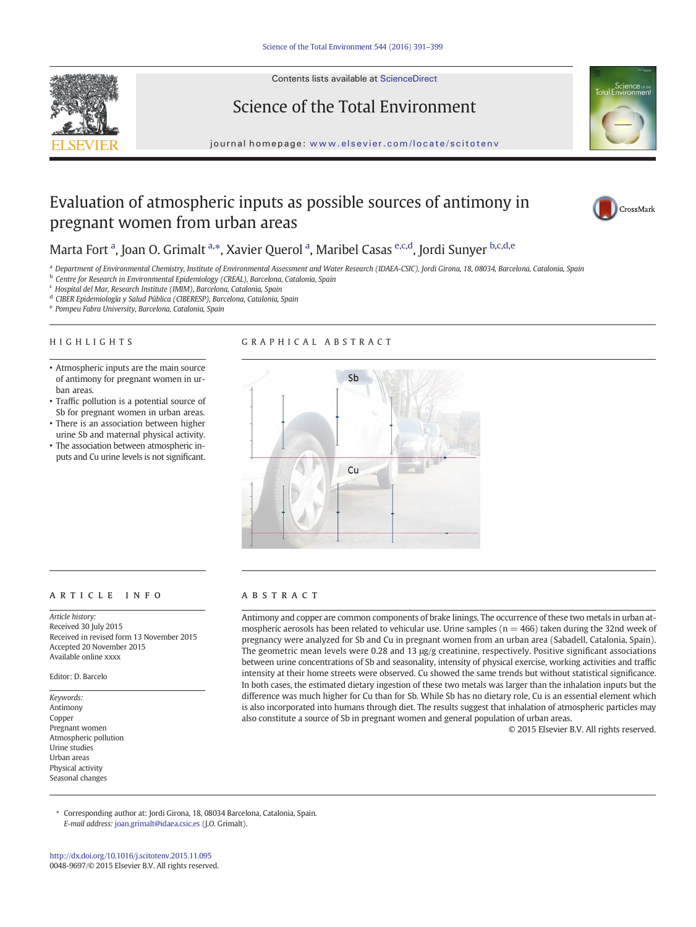

Contents lists available at ScienceDirect

# Science of the Total Environment



journal homepage: <www.elsevier.com/locate/scitotenv>

# Evaluation of atmospheric inputs as possible sources of antimony in pregnant women from urban areas



## Marta Fort <sup>a</sup>, Joan O. Grimalt <sup>a,\*</sup>, Xavier Querol <sup>a</sup>, Maribel Casas <sup>e,c,d</sup>, Jordi Sunyer <sup>b,c,d,e</sup>

a Department of Environmental Chemistry, Institute of Environmental Assessment and Water Research (IDAEA-CSIC), Jordi Girona, 18, 08034, Barcelona, Catalonia, Spain

**b** Centre for Research in Environmental Epidemiology (CREAL), Barcelona, Catalonia, Spain

<sup>c</sup> Hospital del Mar, Research Institute (IMIM), Barcelona, Catalonia, Spain

- <sup>d</sup> CIBER Epidemiología y Salud Pública (CIBERESP), Barcelona, Catalonia, Spain
- <sup>e</sup> Pompeu Fabra University, Barcelona, Catalonia, Spain

• Atmospheric inputs are the main source of antimony for pregnant women in ur-

• Traffic pollution is a potential source of Sb for pregnant women in urban areas. • There is an association between higher urine Sb and maternal physical activity. • The association between atmospheric inputs and Cu urine levels is not significant.

#### HIGHLIGHTS

ban areas.

### GRAPHICAL ABSTRACT



#### article info abstract

Article history: Received 30 July 2015 Received in revised form 13 November 2015 Accepted 20 November 2015 Available online xxxx

Editor: D. Barcelo

Keywords: Antimony Copper Pregnant women Atmospheric pollution Urine studies Urban areas Physical activity Seasonal changes

Antimony and copper are common components of brake linings. The occurrence of these two metals in urban atmospheric aerosols has been related to vehicular use. Urine samples ( $n = 466$ ) taken during the 32nd week of pregnancy were analyzed for Sb and Cu in pregnant women from an urban area (Sabadell, Catalonia, Spain). The geometric mean levels were 0.28 and 13 μg/g creatinine, respectively. Positive significant associations between urine concentrations of Sb and seasonality, intensity of physical exercise, working activities and traffic intensity at their home streets were observed. Cu showed the same trends but without statistical significance. In both cases, the estimated dietary ingestion of these two metals was larger than the inhalation inputs but the difference was much higher for Cu than for Sb. While Sb has no dietary role, Cu is an essential element which is also incorporated into humans through diet. The results suggest that inhalation of atmospheric particles may also constitute a source of Sb in pregnant women and general population of urban areas.

© 2015 Elsevier B.V. All rights reserved.

⁎ Corresponding author at: Jordi Girona, 18, 08034 Barcelona, Catalonia, Spain. E-mail address: [joan.grimalt@idaea.csic.es](mailto:joan.grimalt@idaea.csic.es) (J.O. Grimalt).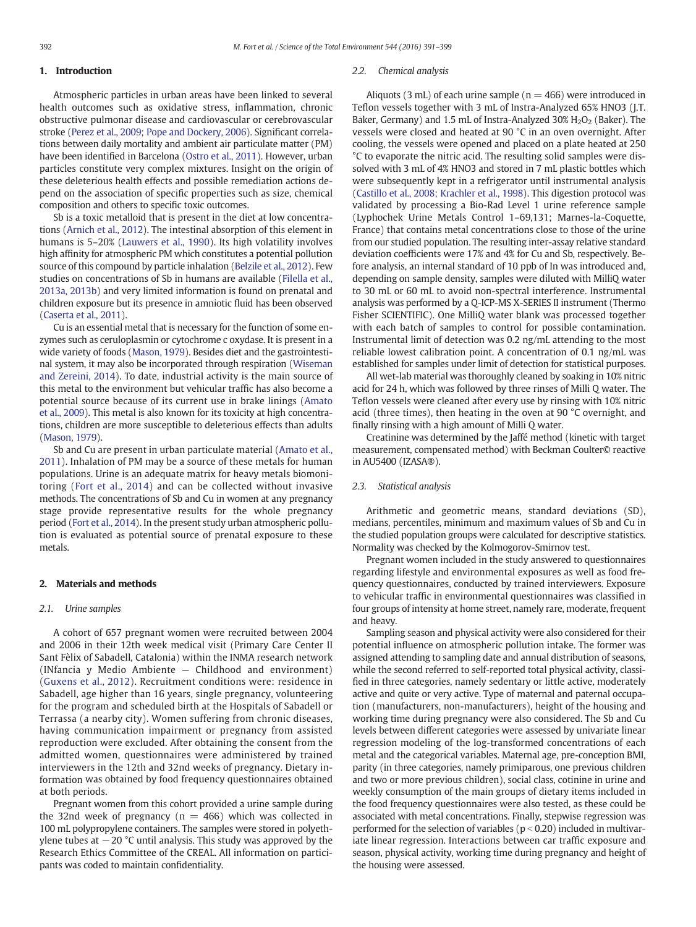#### 1. Introduction

Atmospheric particles in urban areas have been linked to several health outcomes such as oxidative stress, inflammation, chronic obstructive pulmonar disease and cardiovascular or cerebrovascular stroke [\(Perez et al., 2009; Pope and Dockery, 2006\)](#page--1-0). Significant correlations between daily mortality and ambient air particulate matter (PM) have been identified in Barcelona [\(Ostro et al., 2011\)](#page--1-0). However, urban particles constitute very complex mixtures. Insight on the origin of these deleterious health effects and possible remediation actions depend on the association of specific properties such as size, chemical composition and others to specific toxic outcomes.

Sb is a toxic metalloid that is present in the diet at low concentrations [\(Arnich et al., 2012](#page--1-0)). The intestinal absorption of this element in humans is 5–20% [\(Lauwers et al., 1990](#page--1-0)). Its high volatility involves high affinity for atmospheric PM which constitutes a potential pollution source of this compound by particle inhalation [\(Belzile et al., 2012](#page--1-0)). Few studies on concentrations of Sb in humans are available ([Filella et al.,](#page--1-0) [2013a, 2013b\)](#page--1-0) and very limited information is found on prenatal and children exposure but its presence in amniotic fluid has been observed [\(Caserta et al., 2011\)](#page--1-0).

Cu is an essential metal that is necessary for the function of some enzymes such as ceruloplasmin or cytochrome c oxydase. It is present in a wide variety of foods [\(Mason, 1979](#page--1-0)). Besides diet and the gastrointestinal system, it may also be incorporated through respiration ([Wiseman](#page--1-0) [and Zereini, 2014\)](#page--1-0). To date, industrial activity is the main source of this metal to the environment but vehicular traffic has also become a potential source because of its current use in brake linings ([Amato](#page--1-0) [et al., 2009](#page--1-0)). This metal is also known for its toxicity at high concentrations, children are more susceptible to deleterious effects than adults [\(Mason, 1979\)](#page--1-0).

Sb and Cu are present in urban particulate material ([Amato et al.,](#page--1-0) [2011](#page--1-0)). Inhalation of PM may be a source of these metals for human populations. Urine is an adequate matrix for heavy metals biomonitoring [\(Fort et al., 2014\)](#page--1-0) and can be collected without invasive methods. The concentrations of Sb and Cu in women at any pregnancy stage provide representative results for the whole pregnancy period [\(Fort et al., 2014\)](#page--1-0). In the present study urban atmospheric pollution is evaluated as potential source of prenatal exposure to these metals.

#### 2. Materials and methods

#### 2.1. Urine samples

A cohort of 657 pregnant women were recruited between 2004 and 2006 in their 12th week medical visit (Primary Care Center II Sant Fèlix of Sabadell, Catalonia) within the INMA research network (INfancia y Medio Ambiente — Childhood and environment) ([Guxens et al., 2012](#page--1-0)). Recruitment conditions were: residence in Sabadell, age higher than 16 years, single pregnancy, volunteering for the program and scheduled birth at the Hospitals of Sabadell or Terrassa (a nearby city). Women suffering from chronic diseases, having communication impairment or pregnancy from assisted reproduction were excluded. After obtaining the consent from the admitted women, questionnaires were administered by trained interviewers in the 12th and 32nd weeks of pregnancy. Dietary information was obtained by food frequency questionnaires obtained at both periods.

Pregnant women from this cohort provided a urine sample during the 32nd week of pregnancy ( $n = 466$ ) which was collected in 100 mL polypropylene containers. The samples were stored in polyethylene tubes at  $-20$  °C until analysis. This study was approved by the Research Ethics Committee of the CREAL. All information on participants was coded to maintain confidentiality.

#### 2.2. Chemical analysis

Aliquots (3 mL) of each urine sample ( $n = 466$ ) were introduced in Teflon vessels together with 3 mL of Instra-Analyzed 65% HNO3 (J.T. Baker, Germany) and 1.5 mL of Instra-Analyzed 30%  $H_2O_2$  (Baker). The vessels were closed and heated at 90 °C in an oven overnight. After cooling, the vessels were opened and placed on a plate heated at 250 °C to evaporate the nitric acid. The resulting solid samples were dissolved with 3 mL of 4% HNO3 and stored in 7 mL plastic bottles which were subsequently kept in a refrigerator until instrumental analysis [\(Castillo et al., 2008; Krachler et al., 1998\)](#page--1-0). This digestion protocol was validated by processing a Bio-Rad Level 1 urine reference sample (Lyphochek Urine Metals Control 1–69,131; Marnes-la-Coquette, France) that contains metal concentrations close to those of the urine from our studied population. The resulting inter-assay relative standard deviation coefficients were 17% and 4% for Cu and Sb, respectively. Before analysis, an internal standard of 10 ppb of In was introduced and, depending on sample density, samples were diluted with MilliQ water to 30 mL or 60 mL to avoid non-spectral interference. Instrumental analysis was performed by a Q-ICP-MS X-SERIES II instrument (Thermo Fisher SCIENTIFIC). One MilliQ water blank was processed together with each batch of samples to control for possible contamination. Instrumental limit of detection was 0.2 ng/mL attending to the most reliable lowest calibration point. A concentration of 0.1 ng/mL was established for samples under limit of detection for statistical purposes.

All wet-lab material was thoroughly cleaned by soaking in 10% nitric acid for 24 h, which was followed by three rinses of Milli Q water. The Teflon vessels were cleaned after every use by rinsing with 10% nitric acid (three times), then heating in the oven at 90 °C overnight, and finally rinsing with a high amount of Milli Q water.

Creatinine was determined by the Jaffé method (kinetic with target measurement, compensated method) with Beckman Coulter© reactive in AU5400 (IZASA®).

#### 2.3. Statistical analysis

Arithmetic and geometric means, standard deviations (SD), medians, percentiles, minimum and maximum values of Sb and Cu in the studied population groups were calculated for descriptive statistics. Normality was checked by the Kolmogorov-Smirnov test.

Pregnant women included in the study answered to questionnaires regarding lifestyle and environmental exposures as well as food frequency questionnaires, conducted by trained interviewers. Exposure to vehicular traffic in environmental questionnaires was classified in four groups of intensity at home street, namely rare, moderate, frequent and heavy.

Sampling season and physical activity were also considered for their potential influence on atmospheric pollution intake. The former was assigned attending to sampling date and annual distribution of seasons, while the second referred to self-reported total physical activity, classified in three categories, namely sedentary or little active, moderately active and quite or very active. Type of maternal and paternal occupation (manufacturers, non-manufacturers), height of the housing and working time during pregnancy were also considered. The Sb and Cu levels between different categories were assessed by univariate linear regression modeling of the log-transformed concentrations of each metal and the categorical variables. Maternal age, pre-conception BMI, parity (in three categories, namely primiparous, one previous children and two or more previous children), social class, cotinine in urine and weekly consumption of the main groups of dietary items included in the food frequency questionnaires were also tested, as these could be associated with metal concentrations. Finally, stepwise regression was performed for the selection of variables ( $p < 0.20$ ) included in multivariate linear regression. Interactions between car traffic exposure and season, physical activity, working time during pregnancy and height of the housing were assessed.